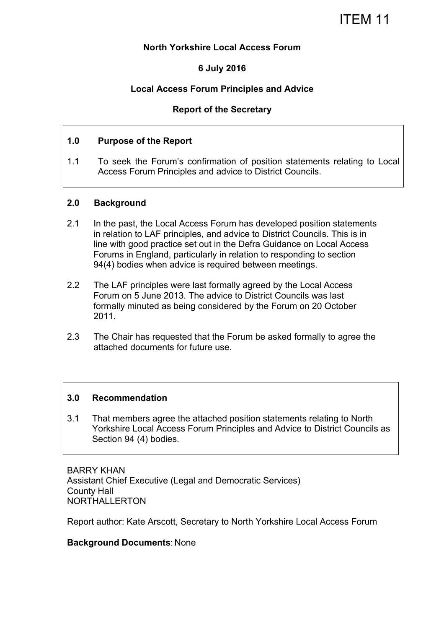#### **North Yorkshire Local Access Forum**

### **6 July 2016**

### **Local Access Forum Principles and Advice**

#### **Report of the Secretary**

#### **1.0 Purpose of the Report**

1.1 To seek the Forum's confirmation of position statements relating to Local Access Forum Principles and advice to District Councils.

#### **2.0 Background**

- 2.1 In the past, the Local Access Forum has developed position statements in relation to LAF principles, and advice to District Councils. This is in line with good practice set out in the Defra Guidance on Local Access Forums in England, particularly in relation to responding to section 94(4) bodies when advice is required between meetings.
- 2.2 The LAF principles were last formally agreed by the Local Access Forum on 5 June 2013. The advice to District Councils was last formally minuted as being considered by the Forum on 20 October 2011.
- 2.3 The Chair has requested that the Forum be asked formally to agree the attached documents for future use.

#### **3.0 Recommendation**

3.1 That members agree the attached position statements relating to North Yorkshire Local Access Forum Principles and Advice to District Councils as Section 94 (4) bodies.

BARRY KHAN Assistant Chief Executive (Legal and Democratic Services) County Hall NORTHALLERTON

Report author: Kate Arscott, Secretary to North Yorkshire Local Access Forum

#### **Background Documents**: None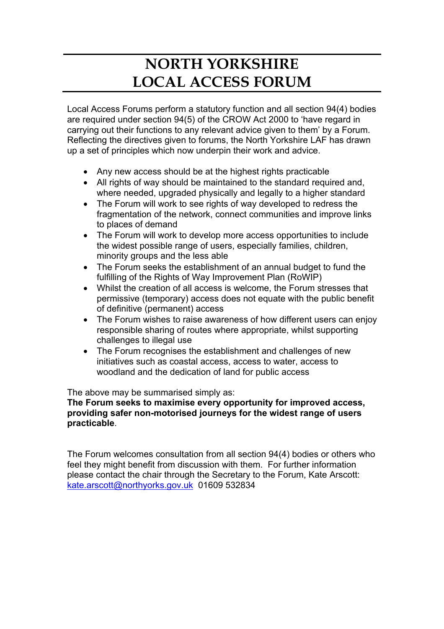# **NORTH YORKSHIRE LOCAL ACCESS FORUM**

Local Access Forums perform a statutory function and all section 94(4) bodies are required under section 94(5) of the CROW Act 2000 to 'have regard in carrying out their functions to any relevant advice given to them' by a Forum. Reflecting the directives given to forums, the North Yorkshire LAF has drawn up a set of principles which now underpin their work and advice.

- Any new access should be at the highest rights practicable
- All rights of way should be maintained to the standard required and, where needed, upgraded physically and legally to a higher standard
- The Forum will work to see rights of way developed to redress the fragmentation of the network, connect communities and improve links to places of demand
- The Forum will work to develop more access opportunities to include the widest possible range of users, especially families, children, minority groups and the less able
- The Forum seeks the establishment of an annual budget to fund the fulfilling of the Rights of Way Improvement Plan (RoWIP)
- Whilst the creation of all access is welcome, the Forum stresses that permissive (temporary) access does not equate with the public benefit of definitive (permanent) access
- The Forum wishes to raise awareness of how different users can enjoy responsible sharing of routes where appropriate, whilst supporting challenges to illegal use
- The Forum recognises the establishment and challenges of new initiatives such as coastal access, access to water, access to woodland and the dedication of land for public access

The above may be summarised simply as:

**The Forum seeks to maximise every opportunity for improved access, providing safer non-motorised journeys for the widest range of users practicable**.

The Forum welcomes consultation from all section 94(4) bodies or others who feel they might benefit from discussion with them. For further information please contact the chair through the Secretary to the Forum, Kate Arscott: kate.arscott@northyorks.gov.uk 01609 532834